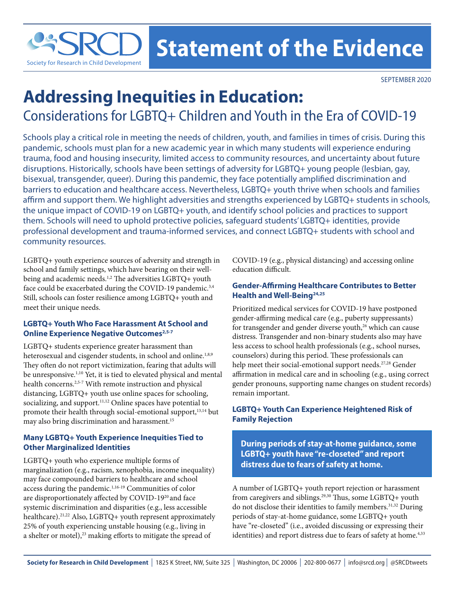

## **Statement of the Evidence**

SEPTEMBER 2020

# **Addressing Inequities in Education:**

Considerations for LGBTQ+ Children and Youth in the Era of COVID-19

Schools play a critical role in meeting the needs of children, youth, and families in times of crisis. During this pandemic, schools must plan for a new academic year in which many students will experience enduring trauma, food and housing insecurity, limited access to community resources, and uncertainty about future disruptions. Historically, schools have been settings of adversity for LGBTQ+ young people (lesbian, gay, bisexual, transgender, queer). During this pandemic, they face potentially amplified discrimination and barriers to education and healthcare access. Nevertheless, LGBTQ+ youth thrive when schools and families affirm and support them. We highlight adversities and strengths experienced by LGBTQ+ students in schools, the unique impact of COVID-19 on LGBTQ+ youth, and identify school policies and practices to support them. Schools will need to uphold protective policies, safeguard students' LGBTQ+ identities, provide professional development and trauma-informed services, and connect LGBTQ+ students with school and community resources.

LGBTQ+ youth experience sources of adversity and strength in school and family settings, which have bearing on their wellbeing and academic needs.<sup>1,2</sup> The adversities LGBTQ+ youth face could be exacerbated during the COVID-19 pandemic.<sup>3,4</sup> Still, schools can foster resilience among LGBTQ+ youth and meet their unique needs.

#### **LGBTQ+ Youth Who Face Harassment At School and Online Experience Negative Outcomes<sup>2,5-7</sup>**

LGBTQ+ students experience greater harassment than heterosexual and cisgender students, in school and online.<sup>1,8,9</sup> They often do not report victimization, fearing that adults will be unresponsive.1,10 Yet, it is tied to elevated physical and mental health concerns.<sup>2,5-7</sup> With remote instruction and physical distancing, LGBTQ+ youth use online spaces for schooling, socializing, and support.<sup>11,12</sup> Online spaces have potential to promote their health through social-emotional support,<sup>13,14</sup> but may also bring discrimination and harassment.15

#### **Many LGBTQ+ Youth Experience Inequities Tied to Other Marginalized Identities**

LGBTQ+ youth who experience multiple forms of marginalization (e.g., racism, xenophobia, income inequality) may face compounded barriers to healthcare and school access during the pandemic.<sup>1,16-19</sup> Communities of color are disproportionately affected by COVID-1920 and face systemic discrimination and disparities (e.g., less accessible healthcare).<sup>21,22</sup> Also, LGBTQ+ youth represent approximately 25% of youth experiencing unstable housing (e.g., living in a shelter or motel),<sup>23</sup> making efforts to mitigate the spread of

COVID-19 (e.g., physical distancing) and accessing online education difficult.

#### **Gender-Affirming Healthcare Contributes to Better Health and Well-Being24,25**

Prioritized medical services for COVID-19 have postponed gender-affirming medical care (e.g., puberty suppressants) for transgender and gender diverse youth, $26$  which can cause distress. Transgender and non-binary students also may have less access to school health professionals (e.g., school nurses, counselors) during this period. These professionals can help meet their social-emotional support needs.27,28 Gender affirmation in medical care and in schooling (e.g., using correct gender pronouns, supporting name changes on student records) remain important.

#### **LGBTQ+ Youth Can Experience Heightened Risk of Family Rejection**

**During periods of stay-at-home guidance, some LGBTQ+ youth have "re-closeted" and report distress due to fears of safety at home.**

A number of LGBTQ+ youth report rejection or harassment from caregivers and siblings.29,30 Thus, some LGBTQ+ youth do not disclose their identities to family members.<sup>31,32</sup> During periods of stay-at-home guidance, some LGBTQ+ youth have "re-closeted" (i.e., avoided discussing or expressing their identities) and report distress due to fears of safety at home.<sup>4,33</sup>